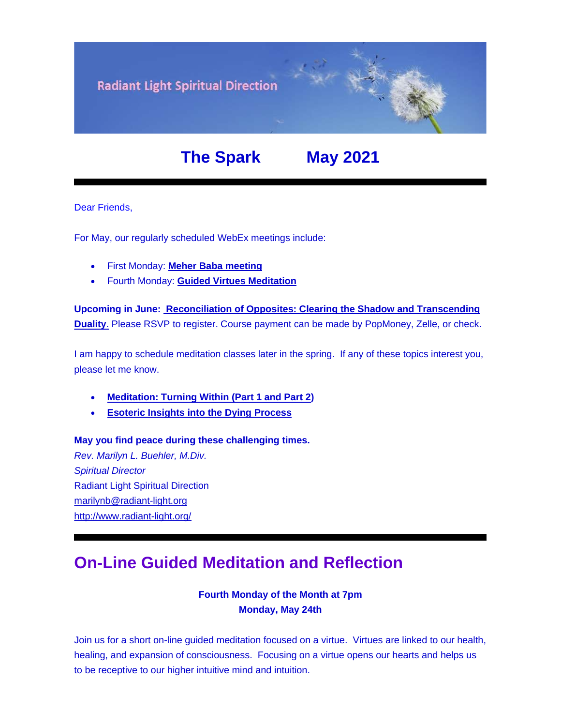

# **The Spark May 2021**

Dear Friends,

For May, our regularly scheduled WebEx meetings include:

- First Monday: **[Meher Baba meeting](https://u18544456.ct.sendgrid.net/ls/click?upn=YO6TcuTs2Xz6NlJVKcEQZiklIDFGo-2FRGaP7ZnccBbQBSde-2FWbw41SMatXQUHqXLIA8tW3rPW7fIcg9F9fR0TI13OPF1OR3N8TEGoGDpmb5M-3DjgU6_FiQrYGg1YZElR924caalGEP3AHGeF79ulf5jxC9Fbcd8IfoR4p2-2FW0xZvJaX6Y3z75H0Yw3uGmHJTH3azVPJ5HXoQqlNvxrtacG06ak4RKFEpWql6CIRJgyPhGOUq7WGk86tVlq2lJfZFvHtTPl89Q2wFFsgkkveAZz-2FXcstt7ZyV8hqZIOBK8jrkXZ-2B85VG5RRZAmMlSMwrvwJ92x1LLrlLxmv-2FSK8Yt4CFW4JfOWtMDLy5HLxafKi7pukzr-2F0SrUNdZqfHXO32CrRATIF7MQ-3D-3D)**
- Fourth Monday: **[Guided Virtues Meditation](https://u18544456.ct.sendgrid.net/ls/click?upn=YO6TcuTs2Xz6NlJVKcEQZiklIDFGo-2FRGaP7ZnccBbQD-2F5nLWTzJmSJc11SHLkwTWw3mPoSMkIgk89sNojM3mjcl2mDNdB7fk5xqxV4W92SY-3Dc79U_FiQrYGg1YZElR924caalGEP3AHGeF79ulf5jxC9Fbcd8IfoR4p2-2FW0xZvJaX6Y3z75H0Yw3uGmHJTH3azVPJ5HXoQqlNvxrtacG06ak4RKFEpWql6CIRJgyPhGOUq7WGs62k2DulHw9iB2yyQbQk8MTYkVt5hO52lEap-2FfrT6-2Bq8eEjEa8muxrvcyFGGs8iFPnTvSJm-2B5c3EwguymVl-2BQRH-2BCGbR0ESh3ReMci5A280FU1Ng0tqPJveqMrjw-2BWr-2FfyyF43hgK7U3fkSFYfdh9g-3D-3D)**

**Upcoming in June: [Reconciliation](https://u18544456.ct.sendgrid.net/ls/click?upn=YO6TcuTs2Xz6NlJVKcEQZiklIDFGo-2FRGaP7ZnccBbQBGusmZfNmfWP2-2F0bS7gDEvg7s-2FT-2FketP1vrwJqVOk03W8vVkbj2WqZ2HvU-2F4FbrkY-3DMzeV_FiQrYGg1YZElR924caalGEP3AHGeF79ulf5jxC9Fbcd8IfoR4p2-2FW0xZvJaX6Y3z75H0Yw3uGmHJTH3azVPJ5HXoQqlNvxrtacG06ak4RKFEpWql6CIRJgyPhGOUq7WGAcfn7pdkAAtDif96FMtW0HyeqTjOJ-2FgsrJVfc1ug14EAIx-2BhQgxaAZCKl-2BKsEBkDoY2X6IAgfoQlGYqzIbuHERFnEuExet0NBqQpCk0BvHHTuhNj9IRMYgkwz5rGWfdQ4THlgqjzG8AFQr2DBEhdCw-3D-3D) of Opposites: Clearing the Shadow and Transcending [Duality](https://u18544456.ct.sendgrid.net/ls/click?upn=YO6TcuTs2Xz6NlJVKcEQZiklIDFGo-2FRGaP7ZnccBbQBGusmZfNmfWP2-2F0bS7gDEvg7s-2FT-2FketP1vrwJqVOk03W8vVkbj2WqZ2HvU-2F4FbrkY-3DMzeV_FiQrYGg1YZElR924caalGEP3AHGeF79ulf5jxC9Fbcd8IfoR4p2-2FW0xZvJaX6Y3z75H0Yw3uGmHJTH3azVPJ5HXoQqlNvxrtacG06ak4RKFEpWql6CIRJgyPhGOUq7WGAcfn7pdkAAtDif96FMtW0HyeqTjOJ-2FgsrJVfc1ug14EAIx-2BhQgxaAZCKl-2BKsEBkDoY2X6IAgfoQlGYqzIbuHERFnEuExet0NBqQpCk0BvHHTuhNj9IRMYgkwz5rGWfdQ4THlgqjzG8AFQr2DBEhdCw-3D-3D)**. Please RSVP to register. Course payment can be made by PopMoney, Zelle, or check.

I am happy to schedule meditation classes later in the spring. If any of these topics interest you, please let me know.

- **[Meditation: Turning Within \(Part 1 and Part 2\)](https://u18544456.ct.sendgrid.net/ls/click?upn=YO6TcuTs2Xz6NlJVKcEQZiklIDFGo-2FRGaP7ZnccBbQCHI3OCy1-2FTljnUIZxiRg8HLM4DYB-2FN-2Fq3kXlEC-2F4u5oV164lbmXOFL895hqZhKLR0-3D-SP7_FiQrYGg1YZElR924caalGEP3AHGeF79ulf5jxC9Fbcd8IfoR4p2-2FW0xZvJaX6Y3z75H0Yw3uGmHJTH3azVPJ5HXoQqlNvxrtacG06ak4RKFEpWql6CIRJgyPhGOUq7WGRzARw-2B3-2B5fSvLZZ19ffwxoZy346kqgdRLumGRbPG0AVHrGYgeLdwxX3jUI693iYa0YjU8hsH1WXkyfvHRjhWXk8JOUFkP1MAhYh8Z5EXAwxLwl4NNIsLTWTAh3ZZHke3uHCDw-2BW1lfeuhQADCP41pg-3D-3D)**
- **[Esoteric Insights into the Dying Process](https://u18544456.ct.sendgrid.net/ls/click?upn=YO6TcuTs2Xz6NlJVKcEQZiklIDFGo-2FRGaP7ZnccBbQAmgx5iYLnK9XdRZcvCyt81CrUlas186DIfxdHfXsRJZYnq2wbDsES7ODpqNntqlfD5qxvPcBVzjalw-2FvU5LeP4zbNd_FiQrYGg1YZElR924caalGEP3AHGeF79ulf5jxC9Fbcd8IfoR4p2-2FW0xZvJaX6Y3z75H0Yw3uGmHJTH3azVPJ5HXoQqlNvxrtacG06ak4RKFEpWql6CIRJgyPhGOUq7WGl7P-2Fyy4lQqdn3d8VvmG2bM-2FRUyOU2fG7iUHUmu0cVR6XtD1BzEs11PQU3heFeOZ7VVxULkwISJhzM5s-2FlfGM41whFDCOO8sFnVh-2BF7i5npr7tWve3YF0JF-2B81StXmBkM3E1Xfp-2BcGn50LWYatxr9aQ-3D-3D)**

**May you find peace during these challenging times.** *Rev. Marilyn L. Buehler, M.Div. Spiritual Director* Radiant Light Spiritual Direction [marilynb@radiant-light.org](mailto:marilynb@radiant-light.org) [http://www.radiant-light.org/](https://u18544456.ct.sendgrid.net/ls/click?upn=R-2Bl7NGDLiuME3v4KUDXT9h2qnOPi-2Bv0NUDPOAvqgwbSGaV-2BAb3Xm4aVOKtH6HhU9m-2FTXOQwSXWi82XNXQXmW0Ybjzw6tS-2BT4DLdUHTzXugFWK15x1FY1bK6oAs60zDHaYJf8_FiQrYGg1YZElR924caalGEP3AHGeF79ulf5jxC9Fbcd8IfoR4p2-2FW0xZvJaX6Y3z75H0Yw3uGmHJTH3azVPJ5HXoQqlNvxrtacG06ak4RKFEpWql6CIRJgyPhGOUq7WGGrRUqeOxIHGenBBn-2BRZjiT-2FLM55jFlfRscLoS-2BJLAPnE1hEC6yklOc-2FeP3WDz7e0-2BUHbAy709TG6lrYQjoIjQQb3FQgIQkxFY9prwZVzZi6-2FbWqJypPSgPpAdrbTVILzBlpXN5gzgc77RbKUK9F1dA-3D-3D)

## **On-Line Guided Meditation and Reflection**

#### **Fourth Monday of the Month at 7pm Monday, May 24th**

Join us for a short on-line guided meditation focused on a virtue. Virtues are linked to our health, healing, and expansion of consciousness. Focusing on a virtue opens our hearts and helps us to be receptive to our higher intuitive mind and intuition.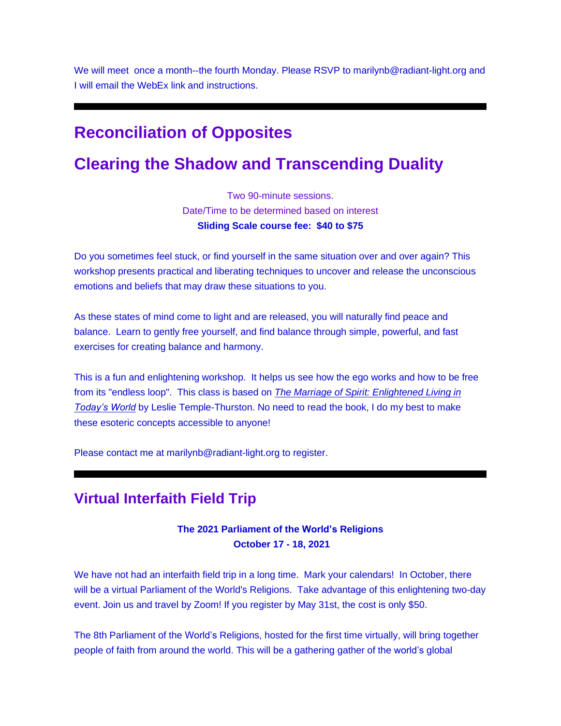We will meet once a month--the fourth Monday. Please RSVP to marilynb@radiant-light.org and I will email the WebEx link and instructions.

## **Reconciliation of Opposites**

## **Clearing the Shadow and Transcending Duality**

Two 90-minute sessions. Date/Time to be determined based on interest **Sliding Scale course fee: \$40 to \$75**

Do you sometimes feel stuck, or find yourself in the same situation over and over again? This workshop presents practical and liberating techniques to uncover and release the unconscious emotions and beliefs that may draw these situations to you.

As these states of mind come to light and are released, you will naturally find peace and balance. Learn to gently free yourself, and find balance through simple, powerful, and fast exercises for creating balance and harmony.

This is a fun and enlightening workshop. It helps us see how the ego works and how to be free from its "endless loop". This class is based on *[The Marriage of Spirit: Enlightened Living in](https://u18544456.ct.sendgrid.net/ls/click?upn=R-2Bl7NGDLiuME3v4KUDXT9s8V8aHwtcrfP-2FedTAKJSqMCOv2u9MIbDS0f-2BuowiUvYMz7G6VpMvQTnNwvusQvTrmFF2-2FE81LWo6BTzQFwYTlI-3D1Vat_FiQrYGg1YZElR924caalGEP3AHGeF79ulf5jxC9Fbcd8IfoR4p2-2FW0xZvJaX6Y3z75H0Yw3uGmHJTH3azVPJ5HXoQqlNvxrtacG06ak4RKFEpWql6CIRJgyPhGOUq7WGYyDWiE55-2B-2BEkuBgQj5rj8-2FO70zAstVdKfh7Uj0VjeSjrlGWDleQZYG12WAuisfbbyJeZ6YL5S3ASRvzRdG9IHh61QMGaklOSgy7Fbzkr4nGYtP2Wm-2BHWThufCU9yE9zfmplgv17HsN27hUdyxvPB8w-3D-3D)  [Today's World](https://u18544456.ct.sendgrid.net/ls/click?upn=R-2Bl7NGDLiuME3v4KUDXT9s8V8aHwtcrfP-2FedTAKJSqMCOv2u9MIbDS0f-2BuowiUvYMz7G6VpMvQTnNwvusQvTrmFF2-2FE81LWo6BTzQFwYTlI-3D1Vat_FiQrYGg1YZElR924caalGEP3AHGeF79ulf5jxC9Fbcd8IfoR4p2-2FW0xZvJaX6Y3z75H0Yw3uGmHJTH3azVPJ5HXoQqlNvxrtacG06ak4RKFEpWql6CIRJgyPhGOUq7WGYyDWiE55-2B-2BEkuBgQj5rj8-2FO70zAstVdKfh7Uj0VjeSjrlGWDleQZYG12WAuisfbbyJeZ6YL5S3ASRvzRdG9IHh61QMGaklOSgy7Fbzkr4nGYtP2Wm-2BHWThufCU9yE9zfmplgv17HsN27hUdyxvPB8w-3D-3D)* by Leslie Temple-Thurston. No need to read the book, I do my best to make these esoteric concepts accessible to anyone!

Please contact me at marilynb@radiant-light.org to register.

### **Virtual Interfaith Field Trip**

#### **The 2021 Parliament of the World's Religions October 17 - 18, 2021**

We have not had an interfaith field trip in a long time. Mark your calendars! In October, there will be a virtual Parliament of the World's Religions. Take advantage of this enlightening two-day event. Join us and travel by Zoom! If you register by May 31st, the cost is only \$50.

The 8th Parliament of the World's Religions, hosted for the first time virtually, will bring together people of faith from around the world. This will be a gathering gather of the world's global